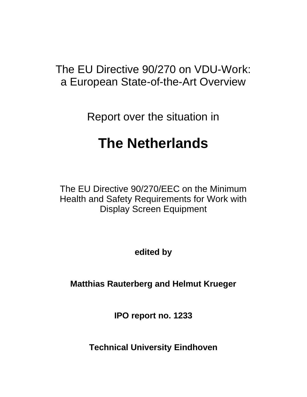# The EU Directive 90/270 on VDU-Work: a European State-of-the-Art Overview

Report over the situation in

# **The Netherlands**

The EU Directive 90/270/EEC on the Minimum Health and Safety Requirements for Work with Display Screen Equipment

**edited by**

**Matthias Rauterberg and Helmut Krueger**

**IPO report no. 1233**

**Technical University Eindhoven**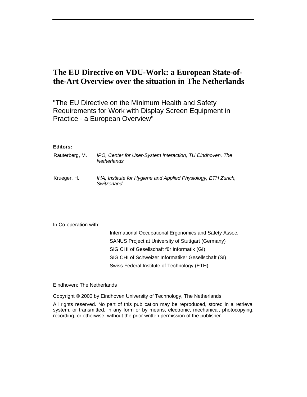## **The EU Directive on VDU-Work: a European State-ofthe-Art Overview over the situation in The Netherlands**

"The EU Directive on the Minimum Health and Safety Requirements for Work with Display Screen Equipment in Practice - a European Overview"

#### **Editors:**

| Rauterberg, M. | IPO, Center for User-System Interaction, TU Eindhoven, The<br><b>Netherlands</b> |
|----------------|----------------------------------------------------------------------------------|
| Krueger, H.    | IHA, Institute for Hygiene and Applied Physiology, ETH Zurich,<br>Switzerland    |

In Co-operation with:

| International Occupational Ergonomics and Safety Assoc. |
|---------------------------------------------------------|
| SANUS Project at University of Stuttgart (Germany)      |
| SIG CHI of Gesellschaft für Informatik (GI)             |
| SIG CHI of Schweizer Informatiker Gesellschaft (SI)     |
| Swiss Federal Institute of Technology (ETH)             |

Eindhoven: The Netherlands

Copyright © 2000 by Eindhoven University of Technology, The Netherlands

All rights reserved. No part of this publication may be reproduced, stored in a retrieval system, or transmitted, in any form or by means, electronic, mechanical, photocopying, recording, or otherwise, without the prior written permission of the publisher.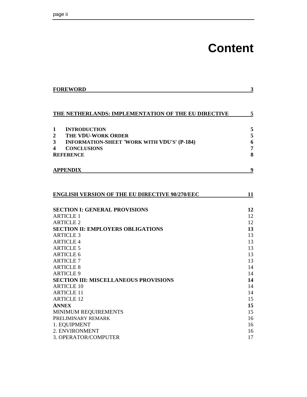# **Content**

| <b>FOREWORD</b>                                                                      |          |
|--------------------------------------------------------------------------------------|----------|
|                                                                                      |          |
|                                                                                      |          |
| THE NETHERLANDS: IMPLEMENTATION OF THE EU DIRECTIVE                                  | 5        |
| <b>INTRODUCTION</b><br>$\mathbf{1}$                                                  | 5        |
| $\overline{2}$<br>THE VDU-WORK ORDER                                                 | 5        |
| <b>INFORMATION-SHEET 'WORK WITH VDU'S' (P-184)</b><br>3                              | 6        |
| <b>CONCLUSIONS</b><br>4                                                              | 7        |
| <b>REFERENCE</b>                                                                     | 8        |
|                                                                                      |          |
| <b>APPENDIX</b>                                                                      | 9        |
|                                                                                      |          |
|                                                                                      |          |
| <b>ENGLISH VERSION OF THE EU DIRECTIVE 90/270/EEC</b>                                | 11       |
| <b>SECTION I: GENERAL PROVISIONS</b>                                                 | 12       |
| <b>ARTICLE 1</b>                                                                     | 12       |
| <b>ARTICLE 2</b>                                                                     | 12       |
| <b>SECTION II: EMPLOYERS OBLIGATIONS</b>                                             |          |
| <b>ARTICLE 3</b>                                                                     | 13       |
| <b>ARTICLE 4</b>                                                                     | 13       |
| <b>ARTICLE 5</b>                                                                     | 13       |
| <b>ARTICLE 6</b>                                                                     | 13       |
| <b>ARTICLE 7</b>                                                                     | 13       |
| <b>ARTICLE 8</b>                                                                     | 14       |
| <b>ARTICLE 9</b>                                                                     | 14<br>14 |
| <b>SECTION III: MISCELLANEOUS PROVISIONS</b>                                         |          |
| <b>ARTICLE 10</b>                                                                    | 14       |
| <b>ARTICLE 11</b>                                                                    | 14       |
| <b>ARTICLE 12</b>                                                                    | 15       |
| <b>ANNEX</b>                                                                         | 15       |
|                                                                                      | 15       |
|                                                                                      | 16<br>16 |
| 1. EQUIPMENT                                                                         |          |
|                                                                                      | 16<br>17 |
| MINIMUM REQUIREMENTS<br>PRELIMINARY REMARK<br>2. ENVIRONMENT<br>3. OPERATOR/COMPUTER |          |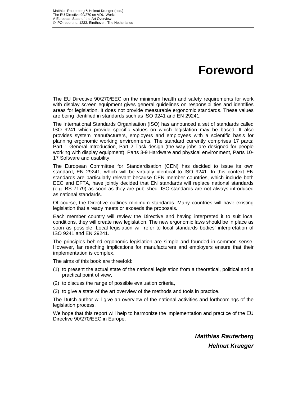# **Foreword**

The EU Directive 90/270/EEC on the minimum health and safety requirements for work with display screen equipment gives general guidelines on responsibilities and identifies areas for legislation. It does not provide measurable ergonomic standards. These values are being identified in standards such as ISO 9241 and EN 29241.

The International Standards Organisation (ISO) has announced a set of standards called ISO 9241 which provide specific values on which legislation may be based. It also provides system manufacturers, employers and employees with a scientific basis for planning ergonomic working environments. The standard currently comprises 17 parts: Part 1 General Introduction, Part 2 Task design (the way jobs are designed for people working with display equipment), Parts 3-9 Hardware and physical environment, Parts 10- 17 Software and usability.

The European Committee for Standardisation (CEN) has decided to issue its own standard, EN 29241, which will be virtually identical to ISO 9241. In this context EN standards are particularly relevant because CEN member countries, which include both EEC and EFTA, have jointly decided that EN standards will replace national standards (e.g. BS 7179) as soon as they are published. ISO-standards are not always introduced as national standards.

Of course, the Directive outlines minimum standards. Many countries will have existing legislation that already meets or exceeds the proposals.

Each member country will review the Directive and having interpreted it to suit local conditions, they will create new legislation. The new ergonomic laws should be in place as soon as possible. Local legislation will refer to local standards bodies' interpretation of ISO 9241 and EN 29241.

The principles behind ergonomic legislation are simple and founded in common sense. However, far reaching implications for manufacturers and employers ensure that their implementation is complex.

The aims of this book are threefold:

- (1) to present the actual state of the national legislation from a theoretical, political and a practical point of view,
- (2) to discuss the range of possible evaluation criteria,
- (3) to give a state of the art overview of the methods and tools in practice.

The Dutch author will give an overview of the national activities and forthcomings of the legislation process.

We hope that this report will help to harmonize the implementation and practice of the EU Directive 90/270/EEC in Europe.

> *Matthias Rauterberg Helmut Krueger*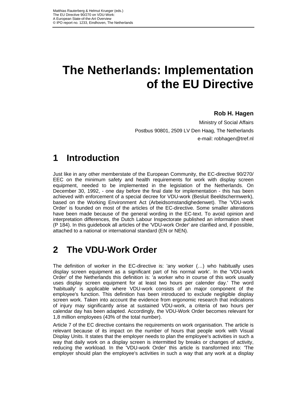# **The Netherlands: Implementation of the EU Directive**

**Rob H. Hagen**

Ministry of Social Affairs Postbus 90801, 2509 LV Den Haag, The Netherlands e-mail: robhagen@tref.nl

# **1 Introduction**

Just like in any other memberstate of the European Community, the EC-directive 90/270/ EEC on the minimum safety and health requirements for work with display screen equipment, needed to be implemented in the legislation of the Netherlands. On December 30, 1992, - one day before the final date for implementation - this has been achieved with enforcement of a special decree for VDU-work (Besluit Beeldschermwerk), based on the Working Environment Act (Arbeidsomstandighedenwet). The 'VDU-work Order' is founded on most of the articles of the EC-directive. Some smaller alterations have been made because of the general wording in the EC-text. To avoid opinion and interpretation differences, the Dutch Labour Inspectorate published an information sheet (P 184). In this guidebook all articles of the 'VDU-work Order' are clarified and, if possible, attached to a national or international standard (EN or NEN).

# **2 The VDU-Work Order**

The definition of worker in the EC-directive is: 'any worker (…) who habitually uses display screen equipment as a significant part of his normal work'. In the 'VDU-work Order' of the Netherlands this definition is: 'a worker who in course of this work usually uses display screen equipment for at least two hours per calender day.' The word 'habitually' is applicable where VDU-work consists of an major component of the employee's function. This definition has been introduced to exclude negligible display screen work. Taken into account the evidence from ergonomic research that indications of injury may significantly arise at sustained VDU-work, a criteria of two hours per calendar day has been adapted. Accordingly, the VDU-Work Order becomes relevant for 1,8 million employees (43% of the total number).

Article 7 of the EC directive contains the requirements on work organisation. The article is relevant because of its impact on the number of hours that people work with Visual Display Units. It states that the employer needs to plan the employee's activities in such a way that daily work on a display screen is intermitted by breaks or changes of activity, reducing the workload. In the 'VDU-work Order' this article is transformed into: 'The employer should plan the employee's activities in such a way that any work at a display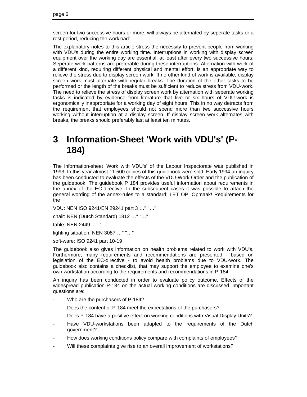screen for two successive hours or more, will always be alternated by seperate tasks or a rest period, reducing the workload'.

The explanatory notes to this article stress the necessity to prevent people from working with VDU's during the entire working time. Interruptions in working with display screen equipment over the working day are essential, at least after every two successive hours. Seperate work patterns are preferable during these interruptions. Alternation with work of a different kind, requiring different physical and mental effort, is an appropriate way to relieve the stress due to display screen work. If no other kind of work is available, display screen work must alternate with regular breaks. The duration of the other tasks to be performed or the length of the breaks must be sufficient to reduce stress from VDU-work. The need to relieve the stress of display screen work by alternation with seperate working tasks is indicated by evidence from literature that five or six hours of VDU-work is ergonomically inappropriate for a working day of eight hours. This in no way detracts from the requirement that employees should not spend more than two successive hours working without interruption at a display screen. If display screen work alternates with breaks, the breaks should preferably last at least ten minutes.

# **3 Information-Sheet 'Work with VDU's' (P-184)**

The information-sheet 'Work with VDU's' of the Labour Inspectorate was published in 1993. In this year almost 11.500 copies of this guidebook were sold. Early 1994 an inquiry has been conducted to evaluate the effects of the VDU-Work Order and the publication of the guidebook. The guidebook P 184 provides useful information about requirements in the annex of the EC-directive. In the subsequent cases it was possible to attach the general wording of the annex-rules to a standard: LET OP: Opmaak! Requirements for the

VDU: NEN ISO 9241/EN 29241 part 3 …" "…"

chair: NEN (Dutch Standard) 1812 …" "…"

table: NEN 2449 …" "…"

lighting situation: NEN 3087 …" "…"

soft-ware: ISO 9241 part 10-19

The guidebook also gives information on health problems related to work with VDU's. Furthermore, many requirements and recommendations are presented - based on legislation of the EC-directive - to avoid health problems due to VDU-work. The guidebook also contains a checklist, that may support the employee to examine one's own workstation according to the requirements and recommendations in P-184.

An inquiry has been conducted in order to evaluate policy outcome. Effects of the widespread publication P-184 on the actual working conditions are discussed. Important questions are:

- Who are the purchasers of P-184?
- Does the content of P-184 meet the expectations of the purchasers?
- Does P-184 have a positive effect on working conditions with Visual Display Units?
- Have VDU-workstations been adapted to the requirements of the Dutch government?
- How does working conditions policy compare with complaints of employees?
- Will these complaints give rise to an overall improvement of workstations?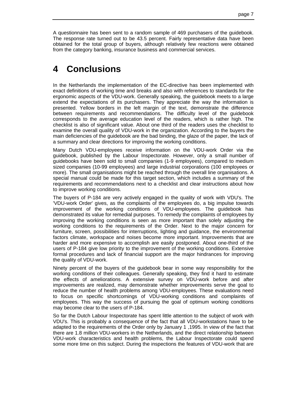A questionnaire has been sent to a random sample of 469 purchasers of the guidebook. The response rate turned out to be 43.5 percent. Fairly representative data have been obtained for the total group of buyers, although relatively few reactions were obtained from the category banking, insurance business and commercial services.

# **4 Conclusions**

In the Netherlands the implementation of the EC-directive has been implemented with exact definitions of working time and breaks and also with references to standards for the ergonomic aspects of the VDU-work. Generally speaking, the guidebook meets to a large extend the expectations of its purchasers. They appreciate the way the information is presented. Yellow borders in the left margin of the text, demonstrate the difference between requirements and recommendations. The difficulty level of the guidebook corresponds to the average education level of the readers, which is rather high. The checklist is also of significant value. About one third of the readers uses the checklist to examine the overall quality of VDU-work in the organization. According to the buyers the main deficiencies of the guidebook are the bad binding, the glaze of the paper, the lack of a summary and clear directions for improving the working conditions.

Many Dutch VDU-employees receive information on the VDU-work Order via the guidebook, published by the Labour Inspectorate. However, only a small number of guidebooks have been sold to small companies (1-9 employees), compared to medium sized companies (10-99 employees) and large industrial corporations (100 employees or more). The small organisations might be reached through the overall line organisations. A special manual could be made for this target section, which includes a summary of the requirements and recommendations next to a checklist and clear instructions about how to improve working conditions.

The buyers of P-184 are very actively engaged in the quality of work with VDU's. The 'VDU-work Order' gives, as the complaints of the employees do, a big impulse towards improvement of the working conditions of VDU-employees. The guidebook has demonstrated its value for remedial purposes. To remedy the complaints of employees by improving the working conditions is seen as more important than solely adjusting the working conditions to the requirements of the Order. Next to the major concern for furniture, screen, possibilities for interruptions, lighting and guidance, the environmental factors climate, workspace and noises become more important. Improvements that are harder and more expensive to accomplish are easily postponed. About one-third of the users of P-184 give low priority to the improvement of the working conditions. Extensive formal procedures and lack of financial support are the major hindrances for improving the quality of VDU-work.

Ninety percent of the buyers of the guidebook bear in some way responsibility for the working conditions of their colleagues. Generally speaking, they find it hard to estimate the effects of ameliorations. A extensive survey on VDU-work before and after improvements are realized, may demonstrate whether improvements serve the goal to reduce the number of health problems among VDU-employees. These evaluations need to focus on specific shortcomings of VDU-working conditions and complaints of employees. This way the success of pursuing the goal of optimum working conditions may become clear to the users of P-184.

So far the Dutch Labour Inspectorate has spent little attention to the subject of work with VDU's. This is probably a consequence of the fact that all VDU-workstations have to be adapted to the requirements of the Order only by January 1 ,1995. In view of the fact that there are 1.8 million VDU-workers in the Netherlands, and the direct relationship between VDU-work characteristics and health problems, the Labour Inspectorate could spend some more time on this subject. During the inspections the features of VDU-work that are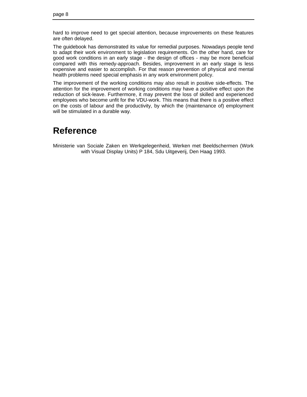hard to improve need to get special attention, because improvements on these features are often delayed.

The guidebook has demonstrated its value for remedial purposes. Nowadays people tend to adapt their work environment to legislation requirements. On the other hand, care for good work conditions in an early stage - the design of offices - may be more beneficial compared with this remedy-approach. Besides, improvement in an early stage is less expensive and easier to accomplish. For that reason prevention of physical and mental health problems need special emphasis in any work environment policy.

The improvement of the working conditions may also result in positive side-effects. The attention for the improvement of working conditions may have a positive effect upon the reduction of sick-leave. Furthermore, it may prevent the loss of skilled and experienced employees who become unfit for the VDU-work. This means that there is a positive effect on the costs of labour and the productivity, by which the (maintenance of) employment will be stimulated in a durable way.

## **Reference**

Ministerie van Sociale Zaken en Werkgelegenheid, Werken met Beeldschermen (Work with Visual Display Units) P 184, Sdu Uitgeverij, Den Haag 1993.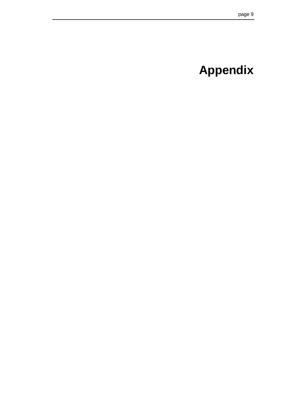# **Appendix**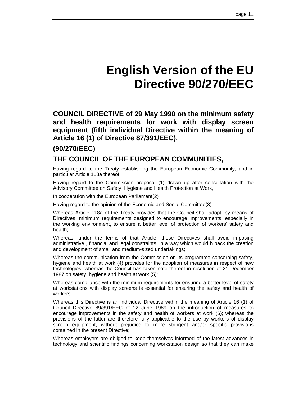# **English Version of the EU Directive 90/270/EEC**

**COUNCIL DIRECTIVE of 29 May 1990 on the minimum safety and health requirements for work with display screen equipment (fifth individual Directive within the meaning of Article 16 (1) of Directive 87/391/EEC).**

#### **(90/270/EEC)**

#### **THE COUNCIL OF THE EUROPEAN COMMUNITIES,**

Having regard to the Treaty establishing the European Economic Community, and in particular Article 118a thereof,

Having regard to the Commission proposal (1) drawn up after consultation with the Advisory Committee on Safety, Hygiene and Health Protection at Work,

In cooperation with the European Parliament(2)

Having regard to the opinion of the Economic and Social Committee(3)

Whereas Article 118a of the Treaty provides that the Council shall adopt, by means of Directives, minimum requirements designed to encourage improvements, especially in the working environment, to ensure a better level of protection of workers' safety and health;

Whereas, under the terms of that Article, those Directives shall avoid imposing administrative , financial and legal constraints, in a way which would h back the creation and development of small and medium-sized undertakings;

Whereas the communication from the Commission on its programme concerning safety, hygiene and health at work (4) provides for the adoption of measures in respect of new technologies; whereas the Council has taken note thereof in resolution of 21 December 1987 on safety, hygiene and health at work (5);

Whereas compliance with the minimum requirements for ensuring a better level of safety at workstations with display screens is essential for ensuring the safety and health of workers;

Whereas this Directive is an individual Directive within the meaning of Article 16 (1) of Council Directive 89/391/EEC of 12 June 1989 on the introduction of measures to encourage improvements in the safety and health of workers at work (6); whereas the provisions of the latter are therefore fully applicable to the use by workers of display screen equipment, without prejudice to more stringent and/or specific provisions contained in the present Directive;

Whereas employers are obliged to keep themselves informed of the latest advances in technology and scientific findings concerning workstation design so that they can make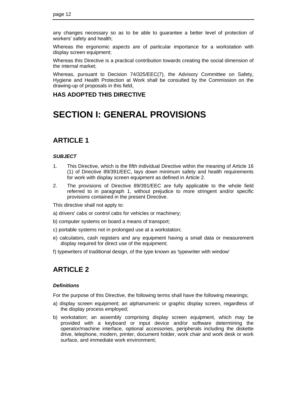any changes necessary so as to be able to guarantee a better level of protection of workers' safety and health;

Whereas the ergonomic aspects are of particular importance for a workstation with display screen equipment;

Whereas this Directive is a practical contribution towards creating the social dimension of the internal market;

Whereas, pursuant to Decision 74/325/EEC(7), the Advisory Committee on Safety, Hygiene and Health Protection at Work shall be consulted by the Commission on the drawing-up of proposals in this field,

#### **HAS ADOPTED THIS DIRECTIVE**

## **SECTION I: GENERAL PROVISIONS**

### **ARTICLE 1**

#### *SUBJECT*

- 1. This Directive, which is the fifth individual Directive within the meaning of Article 16 (1) of Directive 89/391/EEC, lays down minimum safety and health requirements for work with display screen equipment as defined in Article 2.
- 2. The provisions of Directive 89/391/EEC are fully applicable to the whole field referred to in paragraph 1, without prejudice to more stringent and/or specific provisions contained in the present Directive.

This directive shall not apply to:

- a) drivers' cabs or control cabs for vehicles or machinery;
- b) computer systems on board a means of transport;
- c) portable systems not in prolonged use at a workstation;
- e) calculators, cash registers and any equipment having a small data or measurement display required for direct use of the equipment;
- f) typewriters of traditional design, of the type known as 'typewriter with window'

### **ARTICLE 2**

#### *Definitions*

For the purpose of this Directive, the following terms shall have the following meanings;

- a) display screen equipment; an alphanumeric or graphic display screen, regardless of the display process employed;
- b) workstation; an assembly comprising display screen equipment, which may be provided with a keyboard or input device and/or software determining the operator/machine interface, optional accessories, peripherals including the diskette drive, telephone, modern, printer, document holder, work chair and work desk or work surface, and immediate work environment;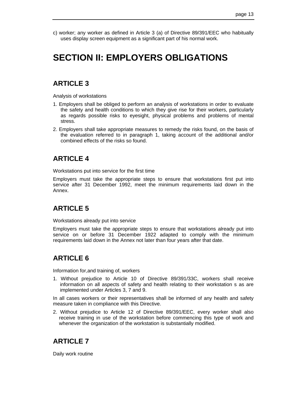c) worker; any worker as defined in Article 3 (a) of Directive 89/391/EEC who habitually uses display screen equipment as a significant part of his normal work.

## **SECTION II: EMPLOYERS OBLIGATIONS**

### **ARTICLE 3**

Analysis of workstations

- 1. Employers shall be obliged to perform an analysis of workstations in order to evaluate the safety and health conditions to which they give rise for their workers, particularly as regards possible risks to eyesight, physical problems and problems of mental stress.
- 2. Employers shall take appropriate measures to remedy the risks found, on the basis of the evaluation referred to in paragraph 1, taking account of the additional and/or combined effects of the risks so found.

#### **ARTICLE 4**

Workstations put into service for the first time

Employers must take the appropriate steps to ensure that workstations first put into service after 31 December 1992, meet the minimum requirements laid down in the Annex.

### **ARTICLE 5**

Workstations already put into service

Employers must take the appropriate steps to ensure that workstations already put into service on or before 31 December 1922 adapted to comply with the minimum requirements laid down in the Annex not later than four years after that date.

### **ARTICLE 6**

Information for,and training of, workers

1. Without prejudice to Article 10 of Directive 89/391/33C, workers shall receive information on all aspects of safety and health relating to their workstation s as are implemented under Articles 3, 7 and 9.

In all cases workers or their representatives shall be informed of any health and safety measure taken in compliance with this Directive.

2. Without prejudice to Article 12 of Directive 89/391/EEC, every worker shall also receive training in use of the workstation before commencing this type of work and whenever the organization of the workstation is substantially modified.

### **ARTICLE 7**

Daily work routine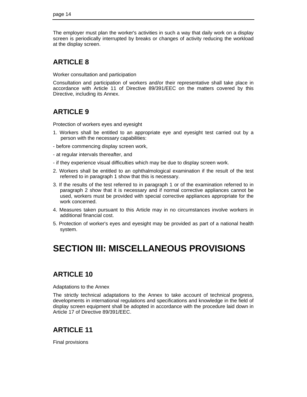The employer must plan the worker's activities in such a way that daily work on a display screen is periodically interrupted by breaks or changes of activity reducing the workload at the display screen.

### **ARTICLE 8**

Worker consultation and participation

Consultation and participation of workers and/or their representative shall take place in accordance with Article 11 of Directive 89/391/EEC on the matters covered by this Directive, including its Annex.

### **ARTICLE 9**

Protection of workers eyes and eyesight

- 1. Workers shall be entitled to an appropriate eye and eyesight test carried out by a person with the necessary capabilities:
- before commencing display screen work,
- at regular intervals thereafter, and
- if they experience visual difficulties which may be due to display screen work.
- 2. Workers shall be entitled to an ophthalmological examination if the result of the test referred to in paragraph 1 show that this is necessary.
- 3. If the results of the test referred to in paragraph 1 or of the examination referred to in paragraph 2 show that it is necessary and if normal corrective appliances cannot be used, workers must be provided with special corrective appliances appropriate for the work concerned.
- 4. Measures taken pursuant to this Article may in no circumstances involve workers in additional financial cost.
- 5. Protection of worker's eyes and eyesight may be provided as part of a national health system.

# **SECTION III: MISCELLANEOUS PROVISIONS**

### **ARTICLE 10**

Adaptations to the Annex

The strictly technical adaptations to the Annex to take account of technical progress, developments in international regulations and specifications and knowledge in the field of display screen equipment shall be adopted in accordance with the procedure laid down in Article 17 of Directive 89/391/EEC.

### **ARTICLE 11**

Final provisions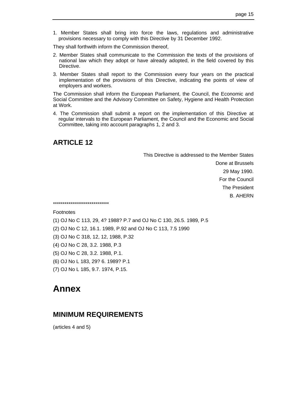1. Member States shall bring into force the laws, regulations and administrative provisions necessary to comply with this Directive by 31 December 1992.

They shall forthwith inform the Commission thereof,

- 2. Member States shall communicate to the Commission the texts of the provisions of national law which they adopt or have already adopted, in the field covered by this Directive.
- 3. Member States shall report to the Commission every four years on the practical implementation of the provisions of this Directive, indicating the points of view of employers and workers.

The Commission shall inform the European Parliament, the Council, the Economic and Social Committee and the Advisory Committee on Safety, Hygiene and Health Protection at Work.

4. The Commission shall submit a report on the implementation of this Directive at regular intervals to the European Parliament, the Council and the Economic and Social Committee, taking into account paragraphs 1, 2 and 3.

#### **ARTICLE 12**

This Directive is addressed to the Member States Done at Brussels 29 May 1990. For the Council The President B. AHERN

\*\*\*\*\*\*\*\*\*\*\*\*\*\*\*\*\*\*\*\*\*\*\*\*\*\*\*\*\*

Footnotes

(1) OJ No C 113, 29, 4? 1988? P.7 and OJ No C 130, 26.5. 1989, P.5

(2) OJ No C 12, 16.1. 1989, P.92 and OJ No C 113, 7.5 1990

(3) OJ No C 318, 12, 12, 1988, P.32

(4) OJ No C 28, 3.2. 1988, P.3

(5) OJ No C 28, 3.2. 1988, P.1.

(6) OJ No L 183, 29? 6. 1989? P.1

(7) OJ No L 185, 9.7. 1974, P.15.

## **Annex**

#### **MINIMUM REQUIREMENTS**

(articles 4 and 5)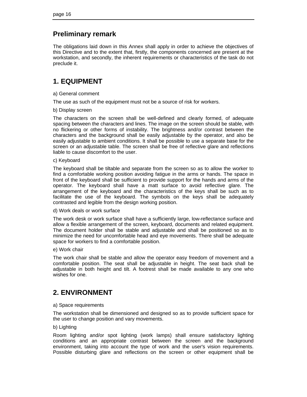### **Preliminary remark**

The obligations laid down in this Annex shall apply in order to achieve the objectives of this Directive and to the extent that, firstly, the components concerned are present at the workstation, and secondly, the inherent requirements or characteristics of the task do not preclude it.

### **1. EQUIPMENT**

a) General comment

The use as such of the equipment must not be a source of risk for workers.

b) Display screen

The characters on the screen shall be well-defined and clearly formed, of adequate spacing between the characters and lines. The image on the screen should be stable, with no flickering or other forms of instability. The brightness and/or contrast between the characters and the background shall be easily adjustable by the operator, and also be easily adjustable to ambient conditions. It shall be possible to use a separate base for the screen or an adjustable table. The screen shall be free of reflective glare and reflections liable to cause discomfort to the user.

#### c) Keyboard

The keyboard shall be tiltable and separate from the screen so as to allow the worker to find a comfortable working position avoiding fatigue in the arms or hands. The space in front of the keyboard shall be sufficient to provide support for the hands and arms of the operator. The keyboard shall have a matt surface to avoid reflective glare. The arrangement of the keyboard and the characteristics of the keys shall be such as to facilitate the use of the keyboard. The symbols on the keys shall be adequately contrasted and legible from the design working position.

#### d) Work deals or work surface

The work desk or work surface shall have a sufficiently large, low-reflectance surface and allow a flexible arrangement of the screen, keyboard, documents and related equipment. The document holder shall be stable and adjustable and shall be positioned so as to minimize the need for uncomfortable head and eye movements. There shall be adequate space for workers to find a comfortable position.

#### e) Work chair

The work chair shall be stable and allow the operator easy freedom of movement and a comfortable position. The seat shall be adjustable in height. The seat back shall be adjustable in both height and tilt. A footrest shall be made available to any one who wishes for one.

### **2. ENVIRONMENT**

#### a) Space requirements

The workstation shall be dimensioned and designed so as to provide sufficient space for the user to change position and vary movements.

#### b) Lighting

Room lighting and/or spot lighting (work lamps) shall ensure satisfactory lighting conditions and an appropriate contrast between the screen and the background environment, taking into account the type of work and the user's vision requirements. Possible disturbing glare and reflections on the screen or other equipment shall be